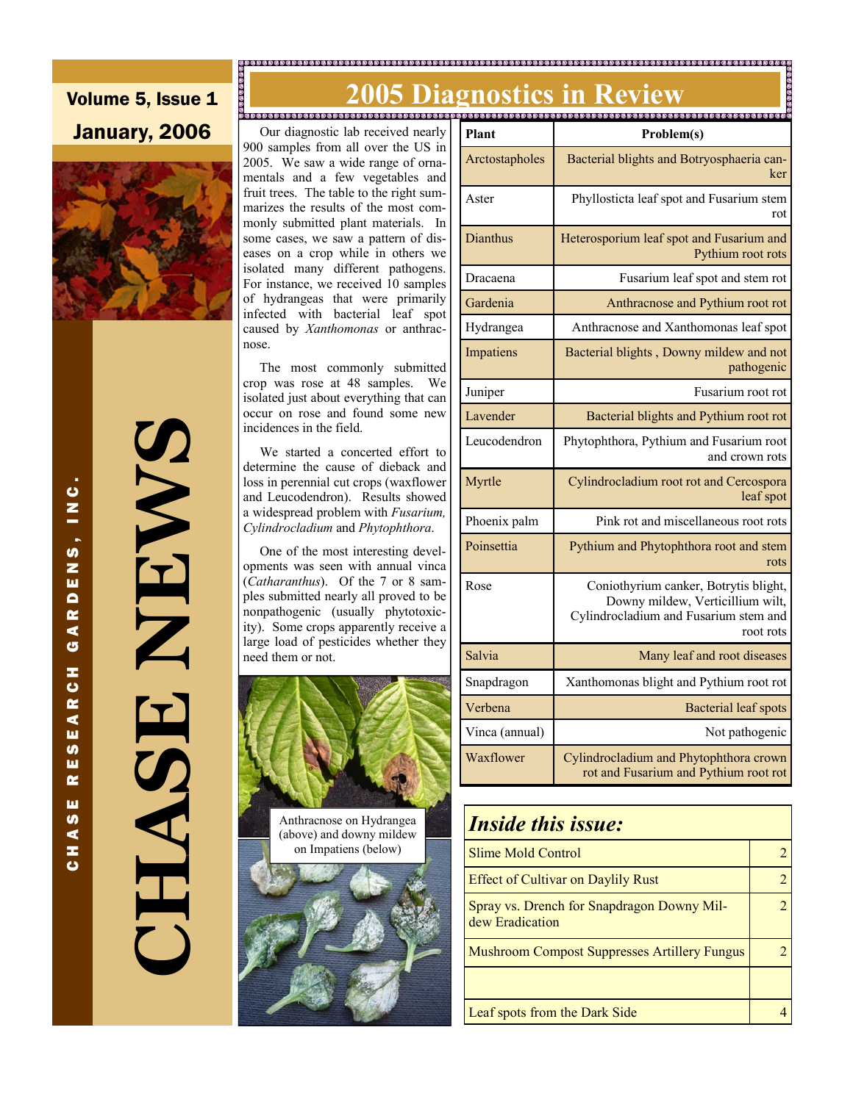#### 

**2005 Diagnostics in Review and Summings of the Second Second Second Second Second Second Second Second Second Second Second Second Second Second Second Second Second Second Second Second Second Second Second Second Second** 

### Volume 5, Issue 1 January, 2006



**CHASE NEWS SWENT** TASH

 Our diagnostic lab received nearly 900 samples from all over the US in 2005. We saw a wide range of ornamentals and a few vegetables and fruit trees. The table to the right summarizes the results of the most commonly submitted plant materials. In some cases, we saw a pattern of diseases on a crop while in others we isolated many different pathogens. For instance, we received 10 samples of hydrangeas that were primarily infected with bacterial leaf spot caused by *Xanthomonas* or anthracnose.

 The most commonly submitted crop was rose at 48 samples. We isolated just about everything that can occur on rose and found some new incidences in the field.

 We started a concerted effort to determine the cause of dieback and loss in perennial cut crops (waxflower and Leucodendron). Results showed a widespread problem with *Fusarium, Cylindrocladium* and *Phytophthora*.

 One of the most interesting developments was seen with annual vinca (*Catharanthus*). Of the 7 or 8 samples submitted nearly all proved to be nonpathogenic (usually phytotoxicity). Some crops apparently receive a large load of pesticides whether they need them or not.



| Plant          | Problem(s)                                                                                                                      |  |
|----------------|---------------------------------------------------------------------------------------------------------------------------------|--|
| Arctostapholes | Bacterial blights and Botryosphaeria can-<br>ker                                                                                |  |
| Aster          | Phyllosticta leaf spot and Fusarium stem<br>rot                                                                                 |  |
| Dianthus       | Heterosporium leaf spot and Fusarium and<br>Pythium root rots                                                                   |  |
| Dracaena       | Fusarium leaf spot and stem rot                                                                                                 |  |
| Gardenia       | Anthracnose and Pythium root rot                                                                                                |  |
| Hydrangea      | Anthracnose and Xanthomonas leaf spot                                                                                           |  |
| Impatiens      | Bacterial blights, Downy mildew and not<br>pathogenic                                                                           |  |
| Juniper        | Fusarium root rot                                                                                                               |  |
| Lavender       | Bacterial blights and Pythium root rot                                                                                          |  |
| Leucodendron   | Phytophthora, Pythium and Fusarium root<br>and crown rots                                                                       |  |
| Myrtle         | Cylindrocladium root rot and Cercospora<br>leaf spot                                                                            |  |
| Phoenix palm   | Pink rot and miscellaneous root rots                                                                                            |  |
| Poinsettia     | Pythium and Phytophthora root and stem<br>rots                                                                                  |  |
| Rose           | Coniothyrium canker, Botrytis blight,<br>Downy mildew, Verticillium wilt,<br>Cylindrocladium and Fusarium stem and<br>root rots |  |
| Salvia         | Many leaf and root diseases                                                                                                     |  |
| Snapdragon     | Xanthomonas blight and Pythium root rot                                                                                         |  |
| Verbena        | <b>Bacterial leaf spots</b>                                                                                                     |  |
| Vinca (annual) | Not pathogenic                                                                                                                  |  |
| Waxflower      | Cylindrocladium and Phytophthora crown<br>rot and Fusarium and Pythium root rot                                                 |  |

## *Inside this issue:* Slime Mold Control 2 Effect of Cultivar on Daylily Rust 2 Spray vs. Drench for Snapdragon Downy Mildew Eradication 2 Mushroom Compost Suppresses Artillery Fungus | 2 Leaf spots from the Dark Side 4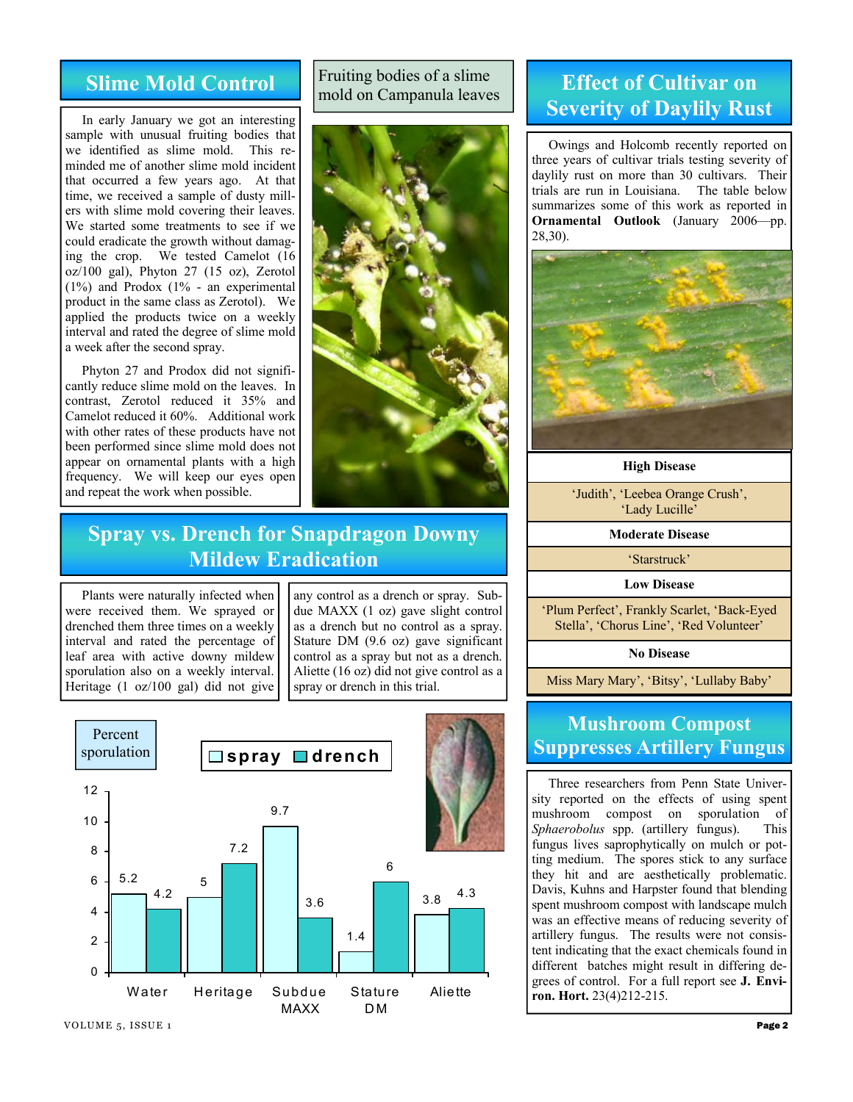#### **Slime Mold Control**

 In early January we got an interesting sample with unusual fruiting bodies that we identified as slime mold. This reminded me of another slime mold incident that occurred a few years ago. At that time, we received a sample of dusty millers with slime mold covering their leaves. We started some treatments to see if we could eradicate the growth without damaging the crop. We tested Camelot (16  $oz/100$  gal), Phyton 27 (15 oz), Zerotol (1%) and Prodox (1% - an experimental product in the same class as Zerotol). We applied the products twice on a weekly interval and rated the degree of slime mold a week after the second spray.

 Phyton 27 and Prodox did not significantly reduce slime mold on the leaves. In contrast, Zerotol reduced it 35% and Camelot reduced it 60%. Additional work with other rates of these products have not been performed since slime mold does not appear on ornamental plants with a high frequency. We will keep our eyes open and repeat the work when possible.

#### Fruiting bodies of a slime mold on Campanula leaves



#### **Effect of Cultivar on Severity of Daylily Rust**

 Owings and Holcomb recently reported on three years of cultivar trials testing severity of daylily rust on more than 30 cultivars. Their trials are run in Louisiana. The table below summarizes some of this work as reported in **Ornamental Outlook** (January 2006—pp. 28,30).



**High Disease** 

'Judith', 'Leebea Orange Crush', 'Lady Lucille'

**Moderate Disease** 

'Starstruck'

**Low Disease** 

'Plum Perfect', Frankly Scarlet, 'Back-Eyed Stella', 'Chorus Line', 'Red Volunteer'

**No Disease** 

Miss Mary Mary', 'Bitsy', 'Lullaby Baby'

#### **Mushroom Compost Suppresses Artillery Fungus**

 Three researchers from Penn State University reported on the effects of using spent mushroom compost on sporulation of *Sphaerobolus* spp. (artillery fungus). This fungus lives saprophytically on mulch or potting medium. The spores stick to any surface they hit and are aesthetically problematic. Davis, Kuhns and Harpster found that blending spent mushroom compost with landscape mulch was an effective means of reducing severity of artillery fungus. The results were not consistent indicating that the exact chemicals found in different batches might result in differing degrees of control. For a full report see **J. Environ. Hort.** 23(4)212-215.

#### **Spray vs. Drench for Snapdragon Downy Mildew Eradication**

 Plants were naturally infected when were received them. We sprayed or drenched them three times on a weekly interval and rated the percentage of leaf area with active downy mildew sporulation also on a weekly interval. Heritage (1 oz/100 gal) did not give

any control as a drench or spray. Subdue MAXX (1 oz) gave slight control as a drench but no control as a spray. Stature DM (9.6 oz) gave significant control as a spray but not as a drench. Aliette (16 oz) did not give control as a spray or drench in this trial.

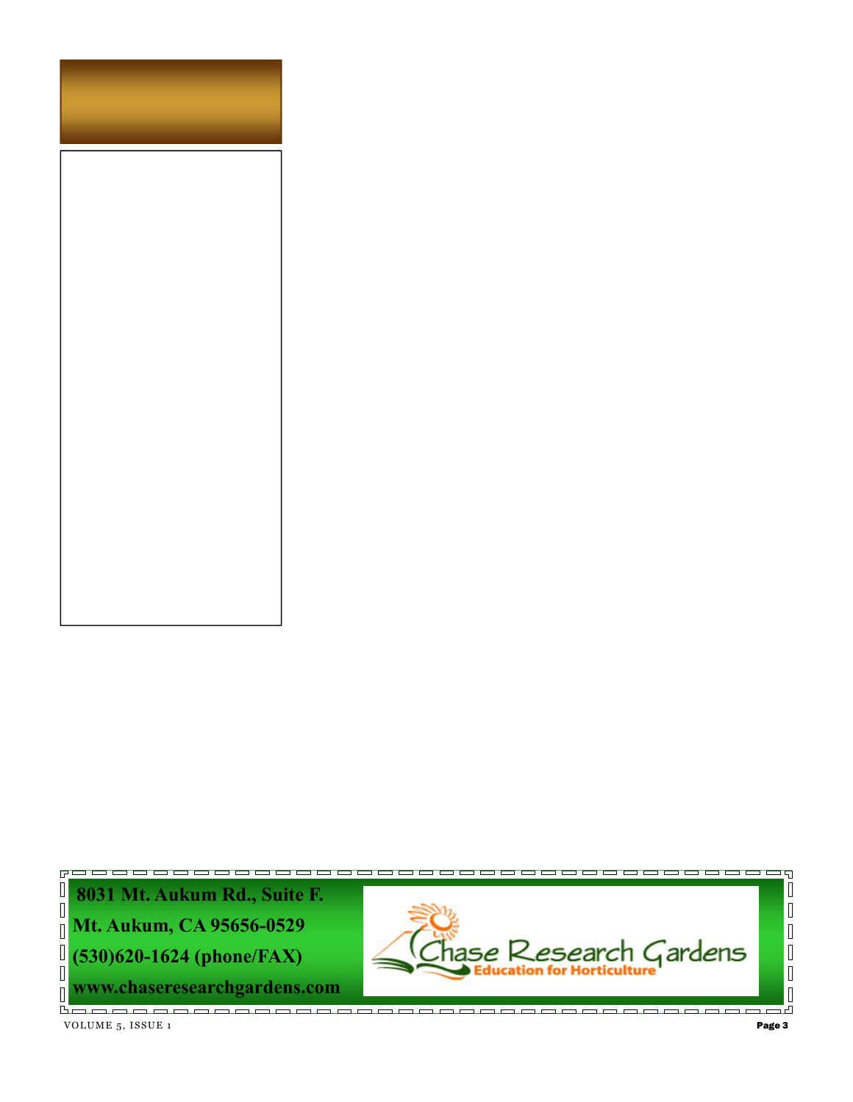